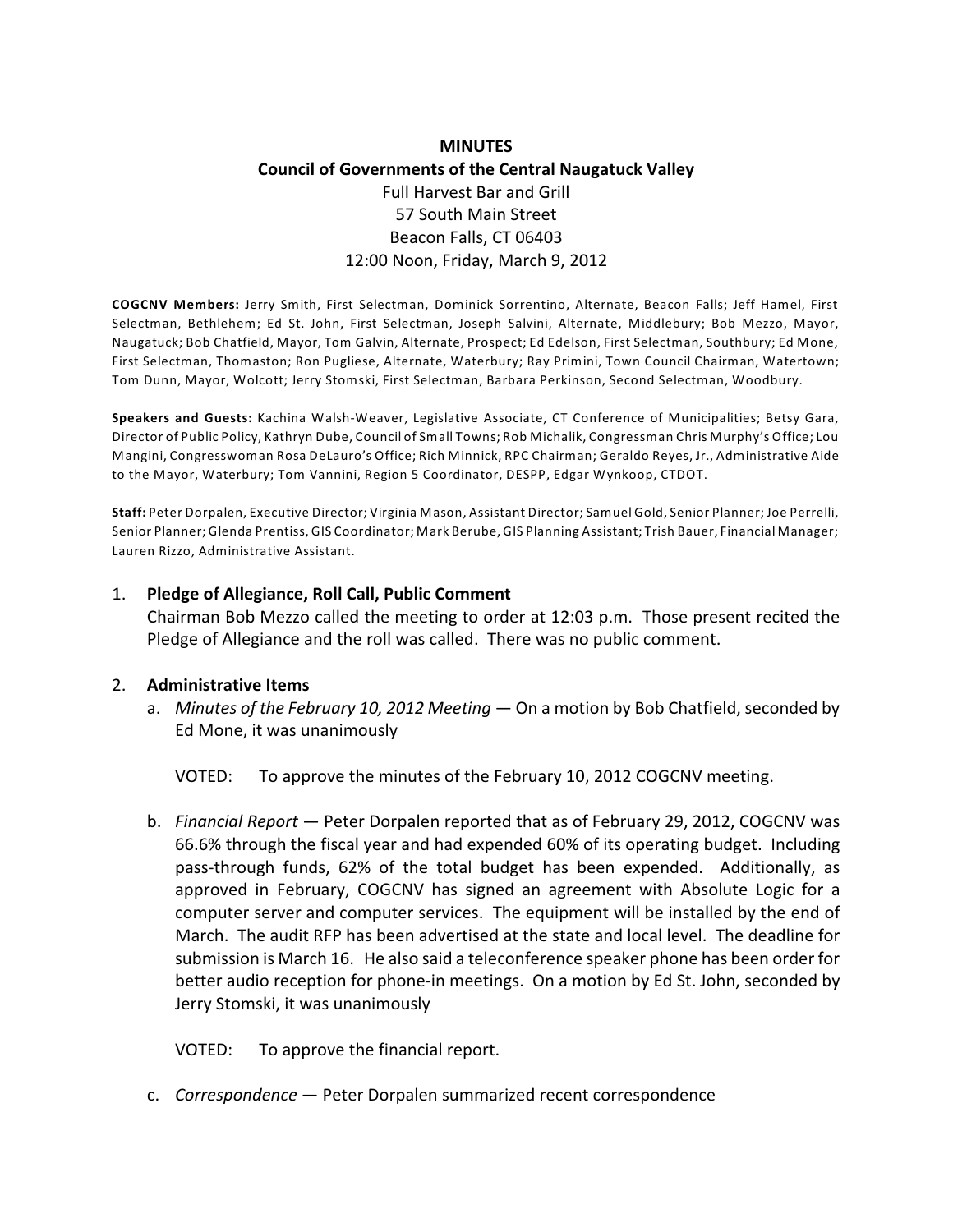# **MINUTES Council of Governments of the Central Naugatuck Valley** Full Harvest Bar and Grill 57 South Main Street Beacon Falls, CT 06403 12:00 Noon, Friday, March 9, 2012

**COGCNV Members:** Jerry Smith, First Selectman, Dominick Sorrentino, Alternate, Beacon Falls; Jeff Hamel, First Selectman, Bethlehem; Ed St. John, First Selectman, Joseph Salvini, Alternate, Middlebury; Bob Mezzo, Mayor, Naugatuck; Bob Chatfield, Mayor, Tom Galvin, Alternate, Prospect; Ed Edelson, First Selectman, Southbury; Ed Mone, First Selectman, Thomaston; Ron Pugliese, Alternate, Waterbury; Ray Primini, Town Council Chairman, Watertown; Tom Dunn, Mayor, Wolcott; Jerry Stomski, First Selectman, Barbara Perkinson, Second Selectman, Woodbury.

**Speakers and Guests:** Kachina Walsh-Weaver, Legislative Associate, CT Conference of Municipalities; Betsy Gara, Director of Public Policy, Kathryn Dube, Council of Small Towns; Rob Michalik, Congressman Chris Murphy's Office; Lou Mangini, Congresswoman Rosa DeLauro's Office; Rich Minnick, RPC Chairman; Geraldo Reyes, Jr., Administrative Aide to the Mayor, Waterbury; Tom Vannini, Region 5 Coordinator, DESPP, Edgar Wynkoop, CTDOT.

**Staff:** Peter Dorpalen, Executive Director; Virginia Mason, Assistant Director; Samuel Gold, Senior Planner; Joe Perrelli, Senior Planner; Glenda Prentiss, GIS Coordinator; Mark Berube,GIS Planning Assistant; Trish Bauer, Financial Manager; Lauren Rizzo, Administrative Assistant.

#### 1. **Pledge of Allegiance, Roll Call, Public Comment**

Chairman Bob Mezzo called the meeting to order at 12:03 p.m. Those present recited the Pledge of Allegiance and the roll was called. There was no public comment.

#### 2. **Administrative Items**

a. *Minutes of the February 10, 2012 Meeting* — On a motion by Bob Chatfield, seconded by Ed Mone, it was unanimously

VOTED: To approve the minutes of the February 10, 2012 COGCNV meeting.

b. *Financial Report* — Peter Dorpalen reported that as of February 29, 2012, COGCNV was 66.6% through the fiscal year and had expended 60% of its operating budget. Including pass-through funds, 62% of the total budget has been expended. Additionally, as approved in February, COGCNV has signed an agreement with Absolute Logic for a computer server and computer services. The equipment will be installed by the end of March. The audit RFP has been advertised at the state and local level. The deadline for submission is March 16. He also said a teleconference speaker phone has been order for better audio reception for phone-in meetings. On a motion by Ed St. John, seconded by Jerry Stomski, it was unanimously

VOTED: To approve the financial report.

c. *Correspondence* — Peter Dorpalen summarized recent correspondence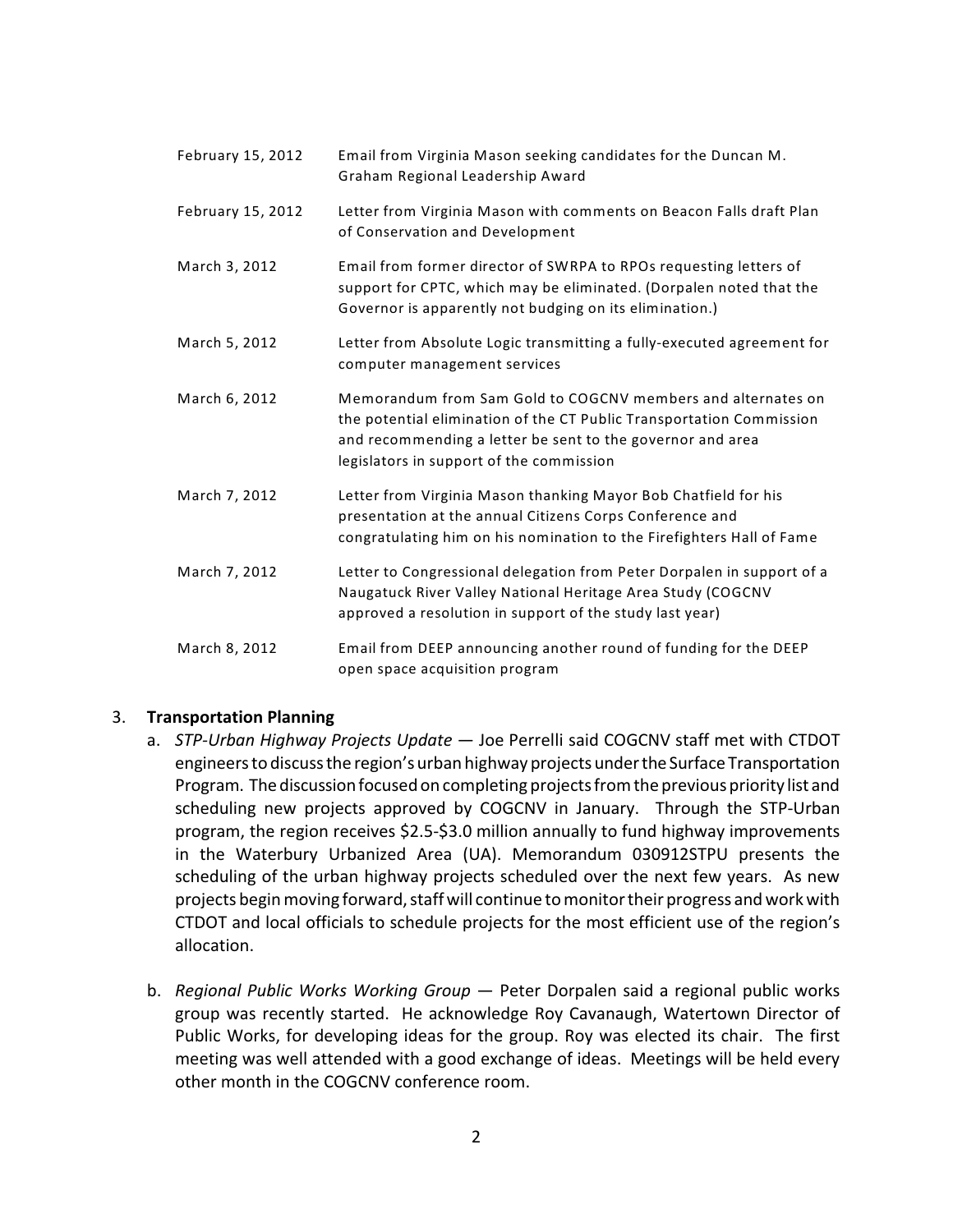| February 15, 2012 | Email from Virginia Mason seeking candidates for the Duncan M.<br>Graham Regional Leadership Award                                                                                                                                             |
|-------------------|------------------------------------------------------------------------------------------------------------------------------------------------------------------------------------------------------------------------------------------------|
| February 15, 2012 | Letter from Virginia Mason with comments on Beacon Falls draft Plan<br>of Conservation and Development                                                                                                                                         |
| March 3, 2012     | Email from former director of SWRPA to RPOs requesting letters of<br>support for CPTC, which may be eliminated. (Dorpalen noted that the<br>Governor is apparently not budging on its elimination.)                                            |
| March 5, 2012     | Letter from Absolute Logic transmitting a fully-executed agreement for<br>computer management services                                                                                                                                         |
| March 6, 2012     | Memorandum from Sam Gold to COGCNV members and alternates on<br>the potential elimination of the CT Public Transportation Commission<br>and recommending a letter be sent to the governor and area<br>legislators in support of the commission |
| March 7, 2012     | Letter from Virginia Mason thanking Mayor Bob Chatfield for his<br>presentation at the annual Citizens Corps Conference and<br>congratulating him on his nomination to the Firefighters Hall of Fame                                           |
| March 7, 2012     | Letter to Congressional delegation from Peter Dorpalen in support of a<br>Naugatuck River Valley National Heritage Area Study (COGCNV<br>approved a resolution in support of the study last year)                                              |
| March 8, 2012     | Email from DEEP announcing another round of funding for the DEEP<br>open space acquisition program                                                                                                                                             |

#### 3. **Transportation Planning**

- a. *STP-Urban Highway Projects Update*  Joe Perrelli said COGCNV staff met with CTDOT engineers to discuss the region's urban highway projects underthe Surface Transportation Program. The discussion focused on completing projects from the previous priority list and scheduling new projects approved by COGCNV in January. Through the STP-Urban program, the region receives \$2.5-\$3.0 million annually to fund highway improvements in the Waterbury Urbanized Area (UA). Memorandum 030912STPU presents the scheduling of the urban highway projects scheduled over the next few years. As new projects begin moving forward, staff will continue to monitor their progress and work with CTDOT and local officials to schedule projects for the most efficient use of the region's allocation.
- b. *Regional Public Works Working Group*  Peter Dorpalen said a regional public works group was recently started. He acknowledge Roy Cavanaugh, Watertown Director of Public Works, for developing ideas for the group. Roy was elected its chair. The first meeting was well attended with a good exchange of ideas. Meetings will be held every other month in the COGCNV conference room.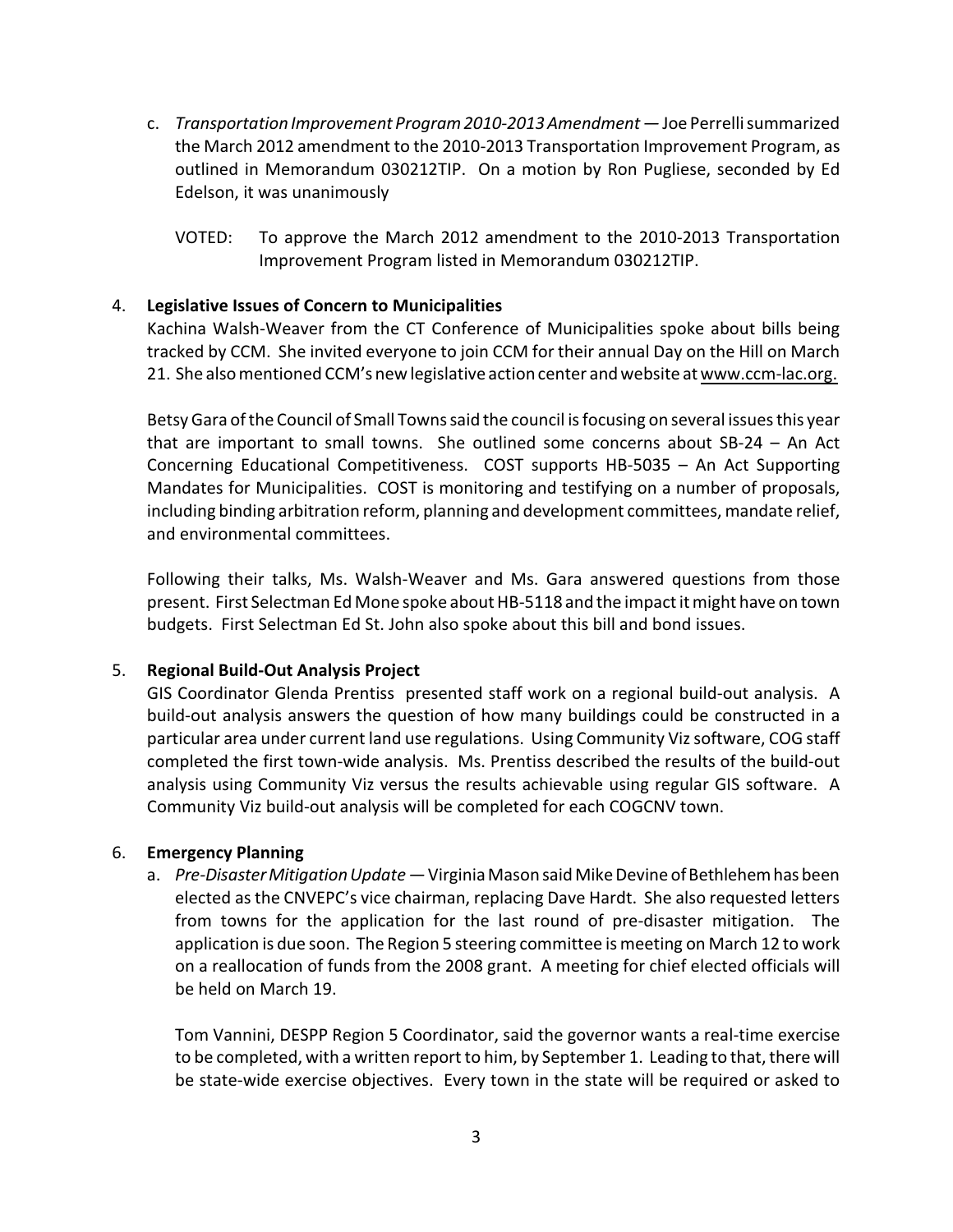- c. *Transportation Improvement Program 2010-2013 Amendment* Joe Perrelli summarized the March 2012 amendment to the 2010-2013 Transportation Improvement Program, as outlined in Memorandum 030212TIP. On a motion by Ron Pugliese, seconded by Ed Edelson, it was unanimously
	- VOTED: To approve the March 2012 amendment to the 2010-2013 Transportation Improvement Program listed in Memorandum 030212TIP.

## 4. **Legislative Issues of Concern to Municipalities**

Kachina Walsh-Weaver from the CT Conference of Municipalities spoke about bills being tracked by CCM. She invited everyone to join CCM for their annual Day on the Hill on March 21. She also mentioned CCM's new legislative action center and website at [www.ccm-lac.org.](http://www.ccm-lac.org.)

Betsy Gara of the Council of Small Towns said the council is focusing on several issues this year that are important to small towns. She outlined some concerns about SB-24 – An Act Concerning Educational Competitiveness. COST supports HB-5035 – An Act Supporting Mandates for Municipalities. COST is monitoring and testifying on a number of proposals, including binding arbitration reform, planning and development committees, mandate relief, and environmental committees.

Following their talks, Ms. Walsh-Weaver and Ms. Gara answered questions from those present. First Selectman Ed Mone spoke about HB-5118 and the impact it might have on town budgets. First Selectman Ed St. John also spoke about this bill and bond issues.

#### 5. **Regional Build-Out Analysis Project**

GIS Coordinator Glenda Prentiss presented staff work on a regional build-out analysis. A build-out analysis answers the question of how many buildings could be constructed in a particular area under current land use regulations. Using Community Viz software, COG staff completed the first town-wide analysis. Ms. Prentiss described the results of the build-out analysis using Community Viz versus the results achievable using regular GIS software. A Community Viz build-out analysis will be completed for each COGCNV town.

#### 6. **Emergency Planning**

a. *Pre-Disaster Mitigation Update* — Virginia Mason said Mike Devine of Bethlehem has been elected as the CNVEPC's vice chairman, replacing Dave Hardt. She also requested letters from towns for the application for the last round of pre-disaster mitigation. The application is due soon. The Region 5 steering committee is meeting on March 12 to work on a reallocation of funds from the 2008 grant. A meeting for chief elected officials will be held on March 19.

Tom Vannini, DESPP Region 5 Coordinator, said the governor wants a real-time exercise to be completed, with a written report to him, by September 1. Leading to that, there will be state-wide exercise objectives. Every town in the state will be required or asked to